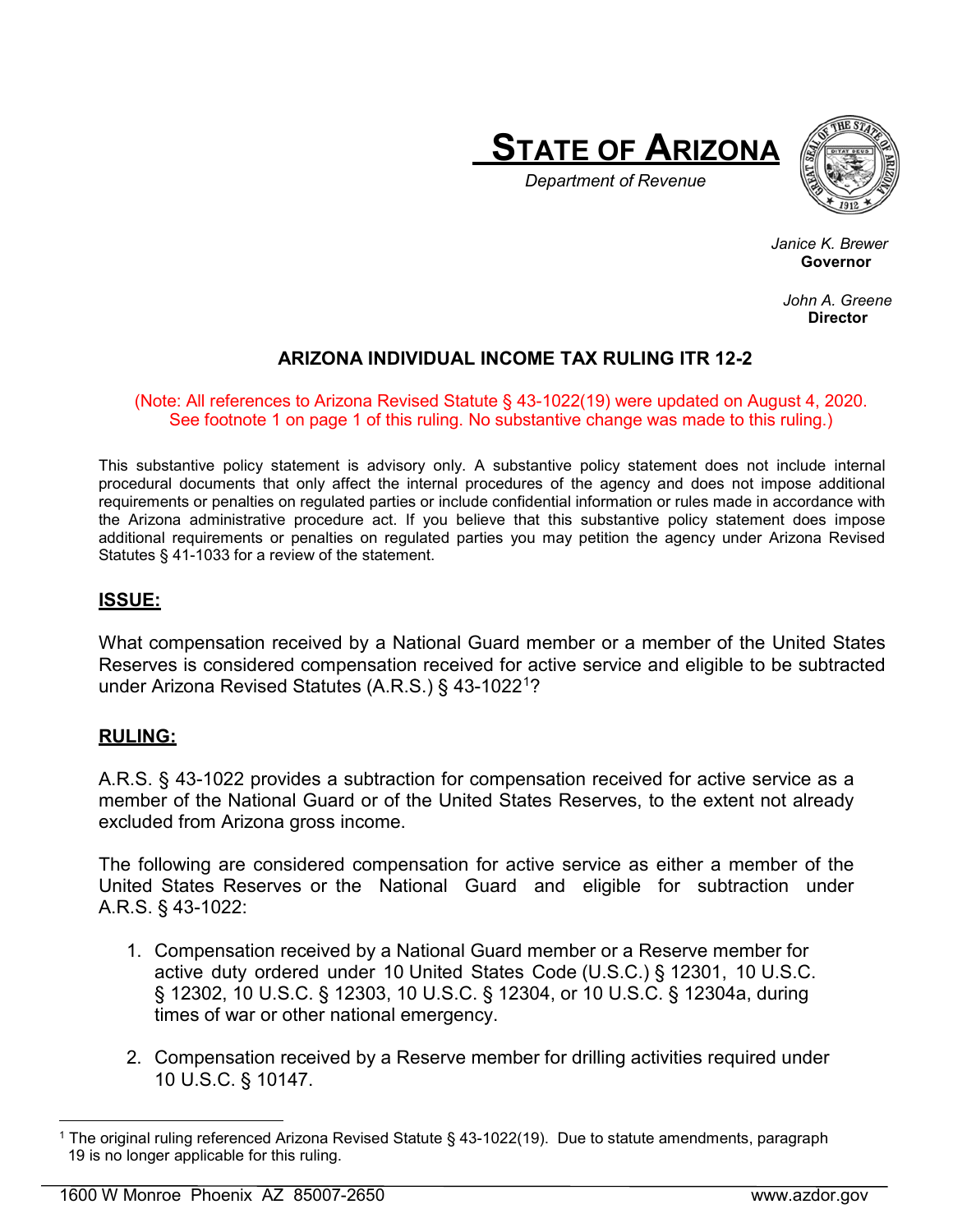



 *Department of Revenue*

 *Janice K. Brewer* **Example 2019年1月1日には、この中には、この中には、この中には、この中には、この中には、この中には、この中には、この中には、この中には、この中には** 

> *John A. Greene*  **Director**

# **ARIZONA INDIVIDUAL INCOME TAX RULING ITR 12-2**

#### (Note: All references to Arizona Revised Statute § 43-1022(19) were updated on August 4, 2020. See footnote 1 on page 1 of this ruling. No substantive change was made to this ruling.)

This substantive policy statement is advisory only. A substantive policy statement does not include internal procedural documents that only affect the internal procedures of the agency and does not impose additional requirements or penalties on regulated parties or include confidential information or rules made in accordance with the Arizona administrative procedure act. If you believe that this substantive policy statement does impose additional requirements or penalties on regulated parties you may petition the agency under Arizona Revised Statutes § 41-1033 for a review of the statement.

# **ISSUE:**

What compensation received by a National Guard member or a member of the United States Reserves is considered compensation received for active service and eligible to be subtracted under Arizona Revised Statutes (A.R.S.) § 43-1022[1?](#page-0-0)

### **RULING:**

A.R.S. § 43-1022 provides a subtraction for compensation received for active service as a member of the National Guard or of the United States Reserves, to the extent not already excluded from Arizona gross income.

The following are considered compensation for active service as either a member of the United States Reserves or the National Guard and eligible for subtraction under A.R.S. § 43-1022:

- 1. Compensation received by a National Guard member or a Reserve member for active duty ordered under 10 United States Code (U.S.C.) § 12301, 10 U.S.C. § 12302, 10 U.S.C. § 12303, 10 U.S.C. § 12304, or 10 U.S.C. § 12304a, during times of war or other national emergency.
- 2. Compensation received by a Reserve member for drilling activities required under 10 U.S.C. § 10147.

<span id="page-0-0"></span> <sup>1</sup> The original ruling referenced Arizona Revised Statute § 43-1022(19). Due to statute amendments, paragraph 19 is no longer applicable for this ruling.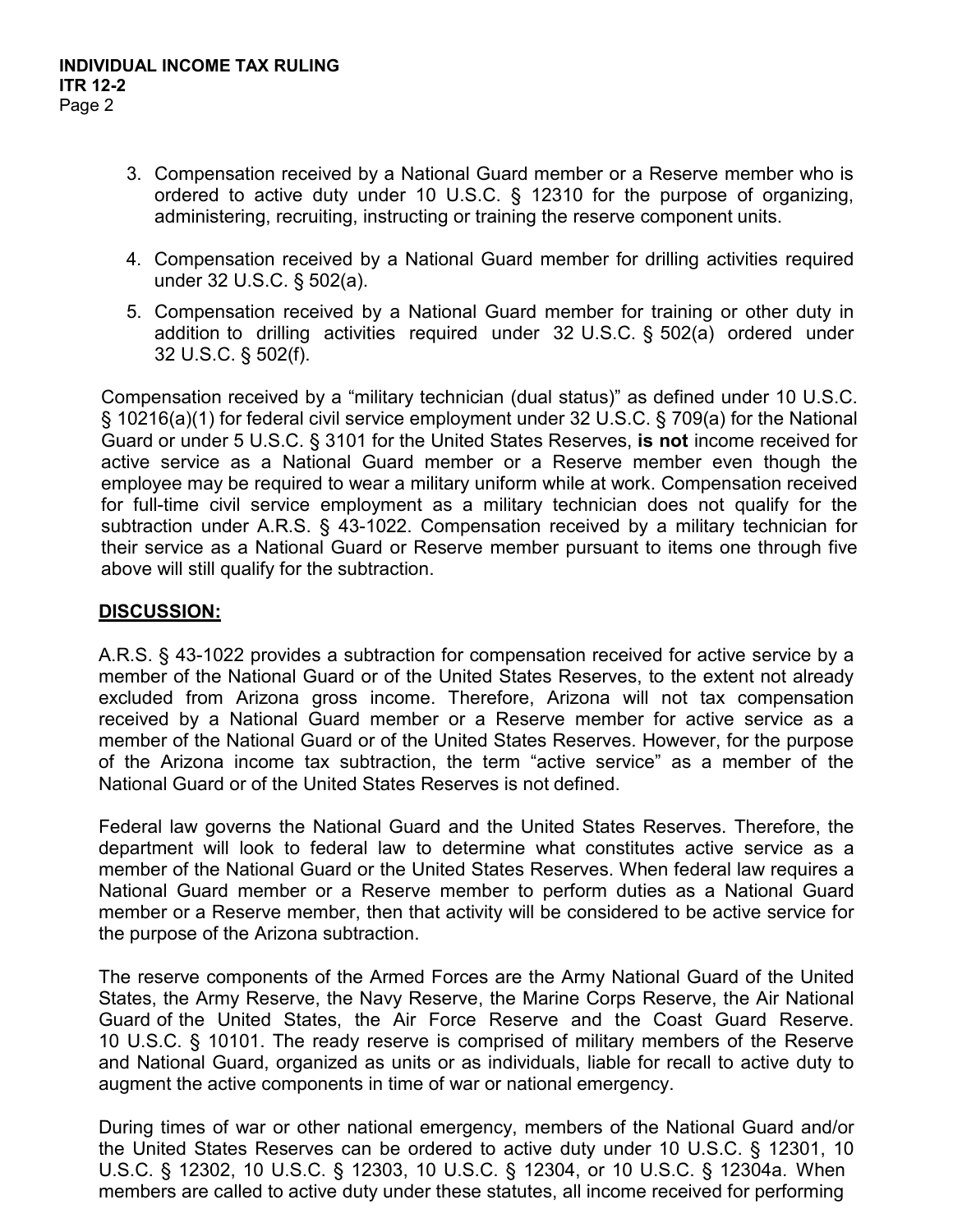- 3. Compensation received by a National Guard member or a Reserve member who is ordered to active duty under 10 U.S.C. § 12310 for the purpose of organizing, administering, recruiting, instructing or training the reserve component units.
- 4. Compensation received by a National Guard member for drilling activities required under 32 U.S.C. § 502(a).
- 5. Compensation received by a National Guard member for training or other duty in addition to drilling activities required under 32 U.S.C. § 502(a) ordered under 32 U.S.C. § 502(f).

Compensation received by a "military technician (dual status)" as defined under 10 U.S.C. § 10216(a)(1) for federal civil service employment under 32 U.S.C. § 709(a) for the National Guard or under 5 U.S.C. § 3101 for the United States Reserves, **is not** income received for active service as a National Guard member or a Reserve member even though the employee may be required to wear a military uniform while at work. Compensation received for full-time civil service employment as a military technician does not qualify for the subtraction under A.R.S. § 43-1022. Compensation received by a military technician for their service as a National Guard or Reserve member pursuant to items one through five above will still qualify for the subtraction.

### **DISCUSSION:**

A.R.S. § 43-1022 provides a subtraction for compensation received for active service by a member of the National Guard or of the United States Reserves, to the extent not already excluded from Arizona gross income. Therefore, Arizona will not tax compensation received by a National Guard member or a Reserve member for active service as a member of the National Guard or of the United States Reserves. However, for the purpose of the Arizona income tax subtraction, the term "active service" as a member of the National Guard or of the United States Reserves is not defined.

Federal law governs the National Guard and the United States Reserves. Therefore, the department will look to federal law to determine what constitutes active service as a member of the National Guard or the United States Reserves. When federal law requires a National Guard member or a Reserve member to perform duties as a National Guard member or a Reserve member, then that activity will be considered to be active service for the purpose of the Arizona subtraction.

The reserve components of the Armed Forces are the Army National Guard of the United States, the Army Reserve, the Navy Reserve, the Marine Corps Reserve, the Air National Guard of the United States, the Air Force Reserve and the Coast Guard Reserve. 10 U.S.C. § 10101. The ready reserve is comprised of military members of the Reserve and National Guard, organized as units or as individuals, liable for recall to active duty to augment the active components in time of war or national emergency.

During times of war or other national emergency, members of the National Guard and/or the United States Reserves can be ordered to active duty under 10 U.S.C. § 12301, 10 U.S.C. § 12302, 10 U.S.C. § 12303, 10 U.S.C. § 12304, or 10 U.S.C. § 12304a. When members are called to active duty under these statutes, all income received for performing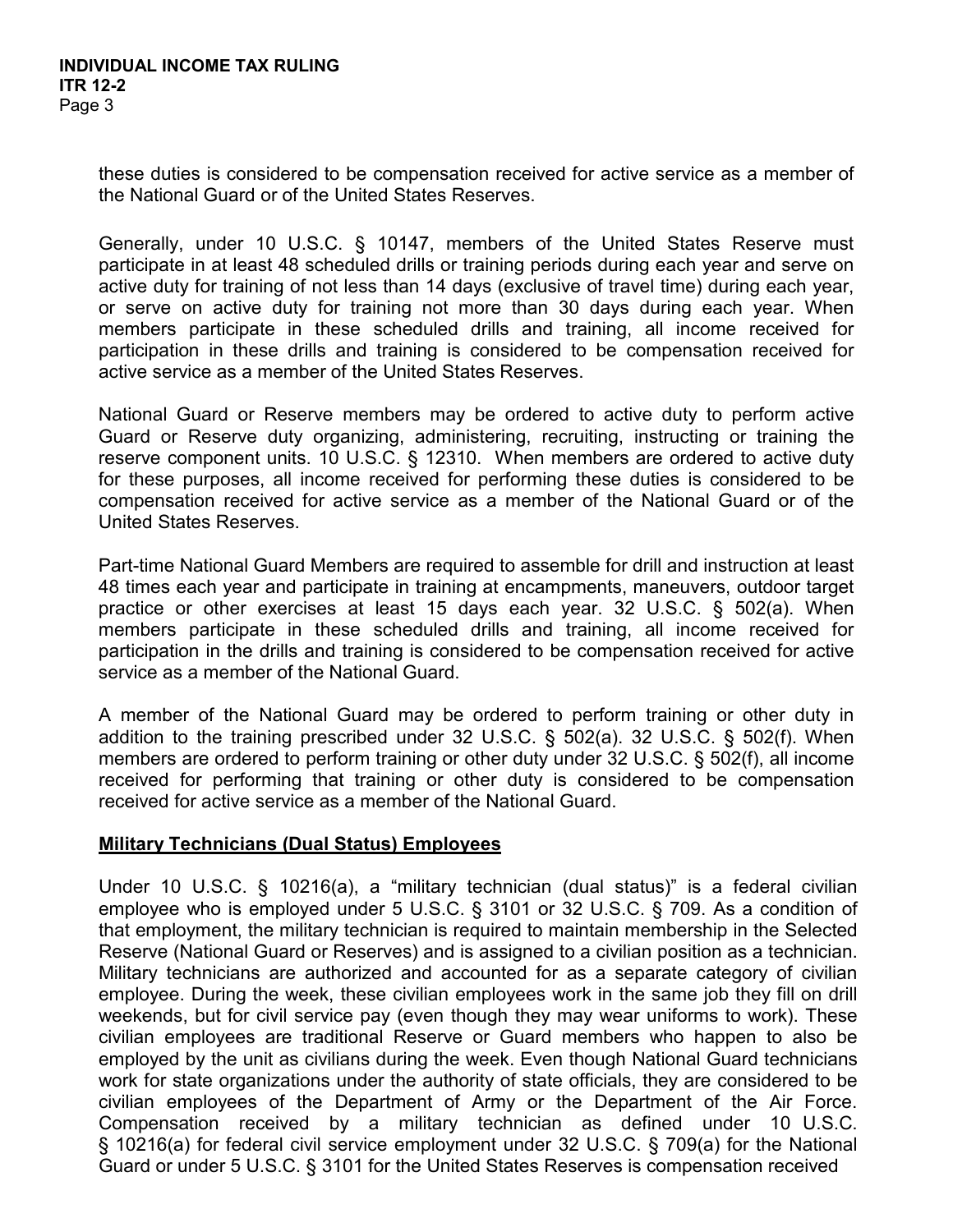these duties is considered to be compensation received for active service as a member of the National Guard or of the United States Reserves.

Generally, under 10 U.S.C. § 10147, members of the United States Reserve must participate in at least 48 scheduled drills or training periods during each year and serve on active duty for training of not less than 14 days (exclusive of travel time) during each year, or serve on active duty for training not more than 30 days during each year. When members participate in these scheduled drills and training, all income received for participation in these drills and training is considered to be compensation received for active service as a member of the United States Reserves.

National Guard or Reserve members may be ordered to active duty to perform active Guard or Reserve duty organizing, administering, recruiting, instructing or training the reserve component units. 10 U.S.C. § 12310. When members are ordered to active duty for these purposes, all income received for performing these duties is considered to be compensation received for active service as a member of the National Guard or of the United States Reserves.

Part-time National Guard Members are required to assemble for drill and instruction at least 48 times each year and participate in training at encampments, maneuvers, outdoor target practice or other exercises at least 15 days each year. 32 U.S.C. § 502(a). When members participate in these scheduled drills and training, all income received for participation in the drills and training is considered to be compensation received for active service as a member of the National Guard.

A member of the National Guard may be ordered to perform training or other duty in addition to the training prescribed under 32 U.S.C. § 502(a). 32 U.S.C. § 502(f). When members are ordered to perform training or other duty under 32 U.S.C. § 502(f), all income received for performing that training or other duty is considered to be compensation received for active service as a member of the National Guard.

### **Military Technicians (Dual Status) Employees**

Under 10 U.S.C. § 10216(a), a "military technician (dual status)" is a federal civilian employee who is employed under 5 U.S.C. § 3101 or 32 U.S.C. § 709. As a condition of that employment, the military technician is required to maintain membership in the Selected Reserve (National Guard or Reserves) and is assigned to a civilian position as a technician. Military technicians are authorized and accounted for as a separate category of civilian employee. During the week, these civilian employees work in the same job they fill on drill weekends, but for civil service pay (even though they may wear uniforms to work). These civilian employees are traditional Reserve or Guard members who happen to also be employed by the unit as civilians during the week. Even though National Guard technicians work for state organizations under the authority of state officials, they are considered to be civilian employees of the Department of Army or the Department of the Air Force. Compensation received by a military technician as defined under 10 U.S.C. § 10216(a) for federal civil service employment under 32 U.S.C. § 709(a) for the National Guard or under 5 U.S.C. § 3101 for the United States Reserves is compensation received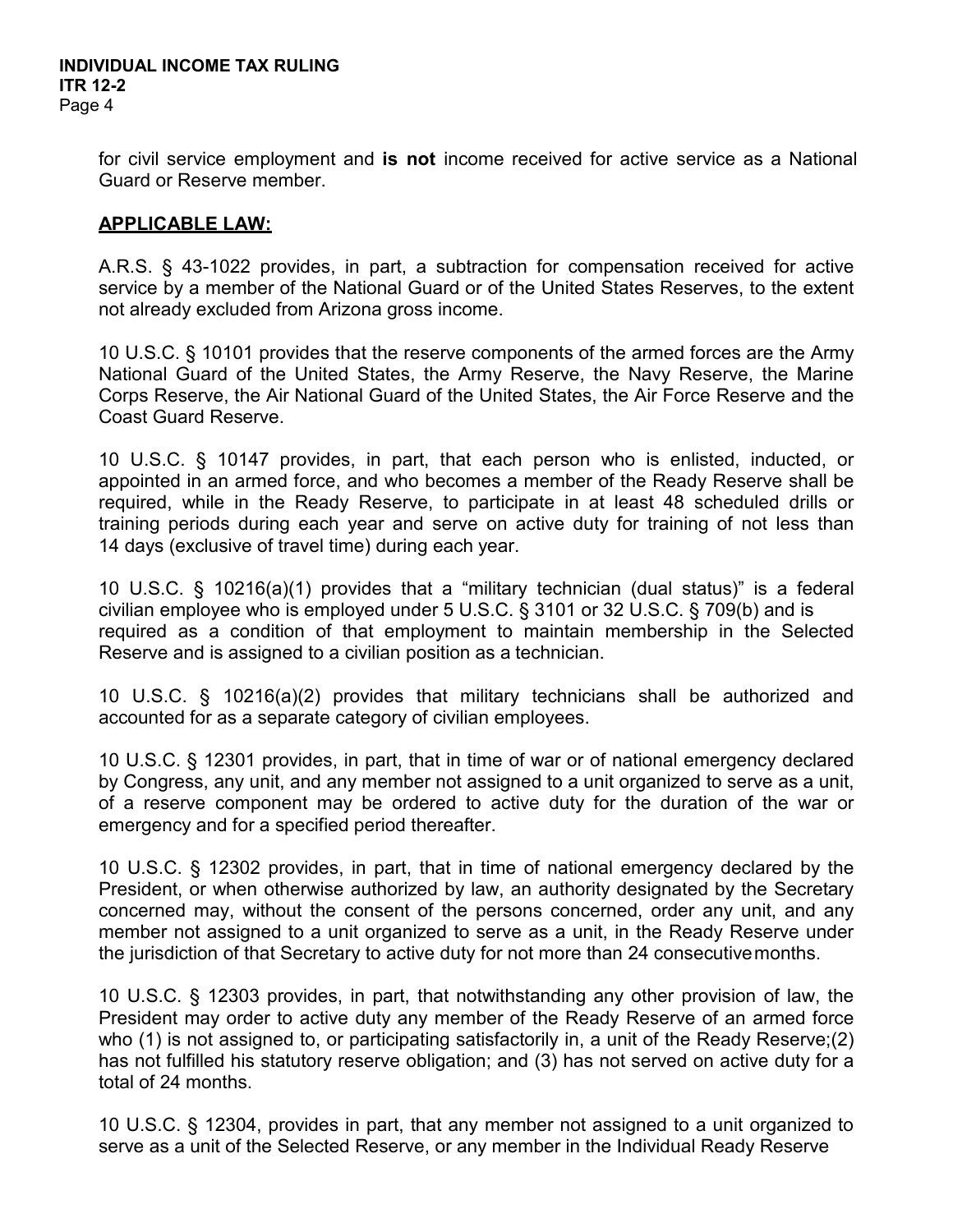for civil service employment and **is not** income received for active service as a National Guard or Reserve member.

### **APPLICABLE LAW:**

A.R.S. § 43-1022 provides, in part, a subtraction for compensation received for active service by a member of the National Guard or of the United States Reserves, to the extent not already excluded from Arizona gross income.

10 U.S.C. § 10101 provides that the reserve components of the armed forces are the Army National Guard of the United States, the Army Reserve, the Navy Reserve, the Marine Corps Reserve, the Air National Guard of the United States, the Air Force Reserve and the Coast Guard Reserve.

10 U.S.C. § 10147 provides, in part, that each person who is enlisted, inducted, or appointed in an armed force, and who becomes a member of the Ready Reserve shall be required, while in the Ready Reserve, to participate in at least 48 scheduled drills or training periods during each year and serve on active duty for training of not less than 14 days (exclusive of travel time) during each year.

10 U.S.C. § 10216(a)(1) provides that a "military technician (dual status)" is a federal civilian employee who is employed under 5 U.S.C. § 3101 or 32 U.S.C. § 709(b) and is required as a condition of that employment to maintain membership in the Selected Reserve and is assigned to a civilian position as a technician.

10 U.S.C. § 10216(a)(2) provides that military technicians shall be authorized and accounted for as a separate category of civilian employees.

10 U.S.C. § 12301 provides, in part, that in time of war or of national emergency declared by Congress, any unit, and any member not assigned to a unit organized to serve as a unit, of a reserve component may be ordered to active duty for the duration of the war or emergency and for a specified period thereafter.

10 U.S.C. § 12302 provides, in part, that in time of national emergency declared by the President, or when otherwise authorized by law, an authority designated by the Secretary concerned may, without the consent of the persons concerned, order any unit, and any member not assigned to a unit organized to serve as a unit, in the Ready Reserve under the jurisdiction of that Secretary to active duty for not more than 24 consecutivemonths.

10 U.S.C. § 12303 provides, in part, that notwithstanding any other provision of law, the President may order to active duty any member of the Ready Reserve of an armed force who (1) is not assigned to, or participating satisfactorily in, a unit of the Ready Reserve;(2) has not fulfilled his statutory reserve obligation; and (3) has not served on active duty for a total of 24 months.

10 U.S.C. § 12304, provides in part, that any member not assigned to a unit organized to serve as a unit of the Selected Reserve, or any member in the Individual Ready Reserve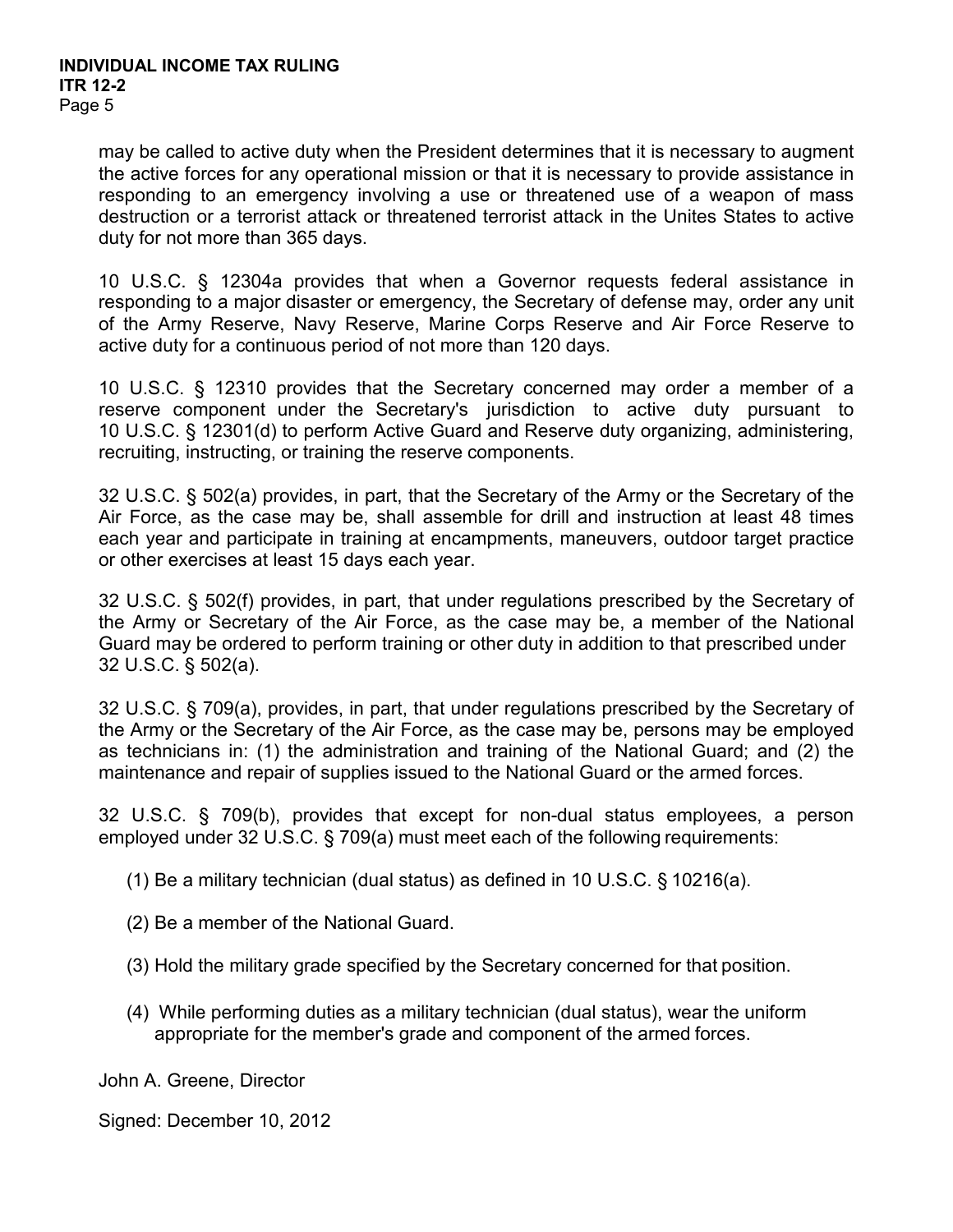may be called to active duty when the President determines that it is necessary to augment the active forces for any operational mission or that it is necessary to provide assistance in responding to an emergency involving a use or threatened use of a weapon of mass destruction or a terrorist attack or threatened terrorist attack in the Unites States to active duty for not more than 365 days.

10 U.S.C. § 12304a provides that when a Governor requests federal assistance in responding to a major disaster or emergency, the Secretary of defense may, order any unit of the Army Reserve, Navy Reserve, Marine Corps Reserve and Air Force Reserve to active duty for a continuous period of not more than 120 days.

10 U.S.C. § 12310 provides that the Secretary concerned may order a member of a reserve component under the Secretary's jurisdiction to active duty pursuant to 10 U.S.C. § 12301(d) to perform Active Guard and Reserve duty organizing, administering, recruiting, instructing, or training the reserve components.

32 U.S.C. § 502(a) provides, in part, that the Secretary of the Army or the Secretary of the Air Force, as the case may be, shall assemble for drill and instruction at least 48 times each year and participate in training at encampments, maneuvers, outdoor target practice or other exercises at least 15 days each year.

32 U.S.C. § 502(f) provides, in part, that under regulations prescribed by the Secretary of the Army or Secretary of the Air Force, as the case may be, a member of the National Guard may be ordered to perform training or other duty in addition to that prescribed under 32 U.S.C. § 502(a).

32 U.S.C. § 709(a), provides, in part, that under regulations prescribed by the Secretary of the Army or the Secretary of the Air Force, as the case may be, persons may be employed as technicians in: (1) the administration and training of the National Guard; and (2) the maintenance and repair of supplies issued to the National Guard or the armed forces.

32 U.S.C. § 709(b), provides that except for non-dual status employees, a person employed under 32 U.S.C. § 709(a) must meet each of the following requirements:

(1) Be a military technician (dual status) as defined in 10 U.S.C. § 10216(a).

- (2) Be a member of the National Guard.
- (3) Hold the military grade specified by the Secretary concerned for that position.
- (4) While performing duties as a military technician (dual status), wear the uniform appropriate for the member's grade and component of the armed forces.

John A. Greene, Director

Signed: December 10, 2012